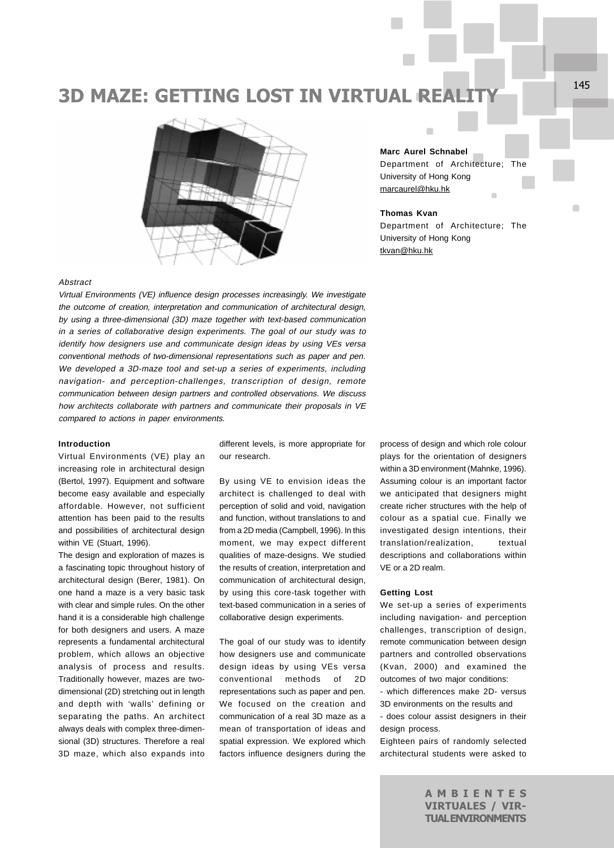# **3D MAZE: GETTING LOST IN VIRTUAL REAL**



**Marc Aurel Schnabel** Department of Architecture; The University of Hong Kong marcaurel@hku.hk f.

 $\blacksquare$ 

## **Thomas Kvan**

Department of Architecture; The University of Hong Kong tkvan@hku.hk

# Abstract

Virtual Environments (VE) influence design processes increasingly. We investigate the outcome of creation, interpretation and communication of architectural design, by using a three-dimensional (3D) maze together with text-based communication in a series of collaborative design experiments. The goal of our study was to identify how designers use and communicate design ideas by using VEs versa conventional methods of two-dimensional representations such as paper and pen. We developed a 3D-maze tool and set-up a series of experiments, including navigation- and perception-challenges, transcription of design, remote communication between design partners and controlled observations. We discuss how architects collaborate with partners and communicate their proposals in VE compared to actions in paper environments.

## **Introduction**

Virtual Environments (VE) play an increasing role in architectural design (Bertol, 1997). Equipment and software become easy available and especially affordable. However, not sufficient attention has been paid to the results and possibilities of architectural design within VE (Stuart, 1996).

The design and exploration of mazes is a fascinating topic throughout history of architectural design (Berer, 1981). On one hand a maze is a very basic task with clear and simple rules. On the other hand it is a considerable high challenge for both designers and users. A maze represents a fundamental architectural problem, which allows an objective analysis of process and results. Traditionally however, mazes are twodimensional (2D) stretching out in length and depth with 'walls' defining or separating the paths. An architect always deals with complex three-dimensional (3D) structures. Therefore a real 3D maze, which also expands into different levels, is more appropriate for our research.

By using VE to envision ideas the architect is challenged to deal with perception of solid and void, navigation and function, without translations to and from a 2D media (Campbell, 1996). In this moment, we may expect different qualities of maze-designs. We studied the results of creation, interpretation and communication of architectural design, by using this core-task together with text-based communication in a series of collaborative design experiments.

The goal of our study was to identify how designers use and communicate design ideas by using VEs versa conventional methods of 2D representations such as paper and pen. We focused on the creation and communication of a real 3D maze as a mean of transportation of ideas and spatial expression. We explored which factors influence designers during the process of design and which role colour plays for the orientation of designers within a 3D environment (Mahnke, 1996). Assuming colour is an important factor we anticipated that designers might create richer structures with the help of colour as a spatial cue. Finally we investigated design intentions, their translation/realization, textual descriptions and collaborations within VE or a 2D realm.

#### **Getting Lost**

We set-up a series of experiments including navigation- and perception challenges, transcription of design, remote communication between design partners and controlled observations (Kvan, 2000) and examined the outcomes of two major conditions:

- which differences make 2D- versus 3D environments on the results and

- does colour assist designers in their design process.

Eighteen pairs of randomly selected architectural students were asked to

> AMBIENTES VIRTUALES / VIR-TUAL ENVIRONMENTS

 $\blacksquare$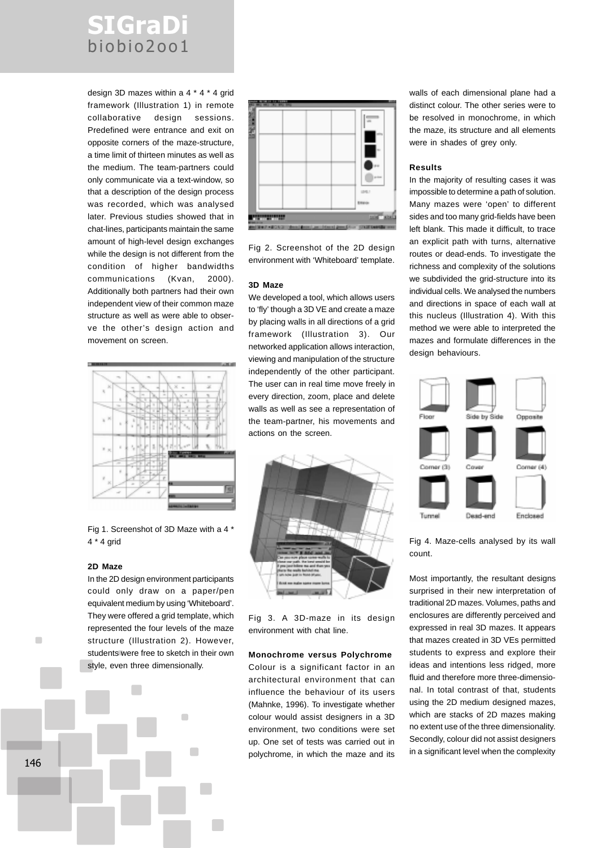# SIGraDi biobio2oo1

design 3D mazes within a 4 \* 4 \* 4 grid framework (Illustration 1) in remote collaborative design sessions. Predefined were entrance and exit on opposite corners of the maze-structure, a time limit of thirteen minutes as well as the medium. The team-partners could only communicate via a text-window, so that a description of the design process was recorded, which was analysed later. Previous studies showed that in chat-lines, participants maintain the same amount of high-level design exchanges while the design is not different from the condition of higher bandwidths communications (Kvan, 2000). Additionally both partners had their own independent view of their common maze structure as well as were able to observe the other's design action and movement on screen.



Fig 1. Screenshot of 3D Maze with a 4 \* 4 \* 4 grid

## **2D Maze**

In the 2D design environment participants could only draw on a paper/pen equivalent medium by using 'Whiteboard'. They were offered a grid template, which represented the four levels of the maze structure (Illustration 2). However, students were free to sketch in their own style, even three dimensionally.

 $\blacksquare$ 



Fig 2. Screenshot of the 2D design environment with 'Whiteboard' template.

#### **3D Maze**

We developed a tool, which allows users to 'fly' though a 3D VE and create a maze by placing walls in all directions of a grid framework (Illustration 3). Our networked application allows interaction, viewing and manipulation of the structure independently of the other participant. The user can in real time move freely in every direction, zoom, place and delete walls as well as see a representation of the team-partner, his movements and actions on the screen.



Fig 3. A 3D-maze in its design environment with chat line.

# **Monochrome versus Polychrome**

Colour is a significant factor in an architectural environment that can influence the behaviour of its users (Mahnke, 1996). To investigate whether colour would assist designers in a 3D environment, two conditions were set up. One set of tests was carried out in polychrome, in which the maze and its walls of each dimensional plane had a distinct colour. The other series were to be resolved in monochrome, in which the maze, its structure and all elements were in shades of grey only.

## **Results**

In the majority of resulting cases it was impossible to determine a path of solution. Many mazes were 'open' to different sides and too many grid-fields have been left blank. This made it difficult, to trace an explicit path with turns, alternative routes or dead-ends. To investigate the richness and complexity of the solutions we subdivided the grid-structure into its individual cells. We analysed the numbers and directions in space of each wall at this nucleus (Illustration 4). With this method we were able to interpreted the mazes and formulate differences in the design behaviours.





Most importantly, the resultant designs surprised in their new interpretation of traditional 2D mazes. Volumes, paths and enclosures are differently perceived and expressed in real 3D mazes. It appears that mazes created in 3D VEs permitted students to express and explore their ideas and intentions less ridged, more fluid and therefore more three-dimensional. In total contrast of that, students using the 2D medium designed mazes, which are stacks of 2D mazes making no extent use of the three dimensionality. Secondly, colour did not assist designers in a significant level when the complexity

146